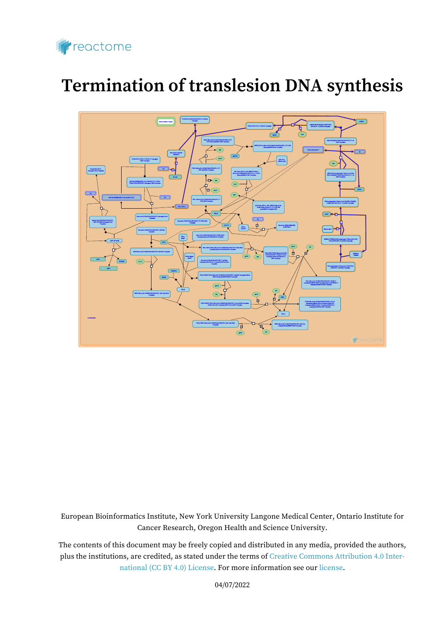

# **Termination of translesion DNA synthesis**



European Bioinformatics Institute, New York University Langone Medical Center, Ontario Institute for Cancer Research, Oregon Health and Science University.

The contents of this document may be freely copied and distributed in any media, provided the authors, plus the institutions, are credited, as stated under the terms of [Creative Commons Attribution 4.0 Inter](https://creativecommons.org/licenses/by/4.0/)[national \(CC BY 4.0\) License](https://creativecommons.org/licenses/by/4.0/). For more information see our [license](https://reactome.org/license).

04/07/2022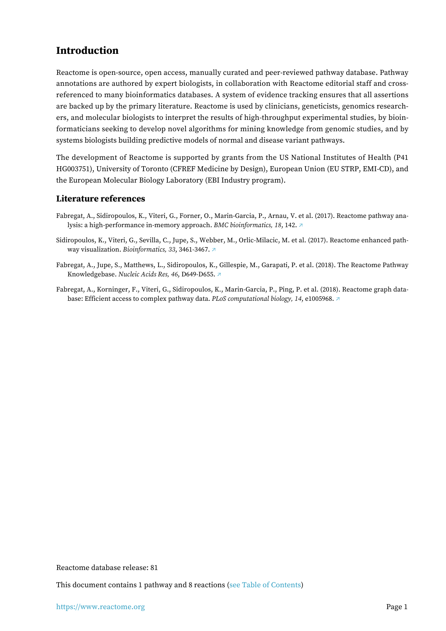### <span id="page-1-0"></span>**Introduction**

Reactome is open-source, open access, manually curated and peer-reviewed pathway database. Pathway annotations are authored by expert biologists, in collaboration with Reactome editorial staff and crossreferenced to many bioinformatics databases. A system of evidence tracking ensures that all assertions are backed up by the primary literature. Reactome is used by clinicians, geneticists, genomics researchers, and molecular biologists to interpret the results of high-throughput experimental studies, by bioinformaticians seeking to develop novel algorithms for mining knowledge from genomic studies, and by systems biologists building predictive models of normal and disease variant pathways.

The development of Reactome is supported by grants from the US National Institutes of Health (P41 HG003751), University of Toronto (CFREF Medicine by Design), European Union (EU STRP, EMI-CD), and the European Molecular Biology Laboratory (EBI Industry program).

#### **Literature references**

- Fabregat, A., Sidiropoulos, K., Viteri, G., Forner, O., Marin-Garcia, P., Arnau, V. et al. (2017). Reactome pathway analysis: a high-performance in-memory approach. *BMC bioinformatics, 18*, 142. [↗](http://www.ncbi.nlm.nih.gov/pubmed/28249561)
- Sidiropoulos, K., Viteri, G., Sevilla, C., Jupe, S., Webber, M., Orlic-Milacic, M. et al. (2017). Reactome enhanced pathway visualization. *Bioinformatics, 33*, 3461-3467. [↗](http://www.ncbi.nlm.nih.gov/pubmed/29077811)
- Fabregat, A., Jupe, S., Matthews, L., Sidiropoulos, K., Gillespie, M., Garapati, P. et al. (2018). The Reactome Pathway Knowledgebase. *Nucleic Acids Res, 46*, D649-D655. [↗](http://www.ncbi.nlm.nih.gov/pubmed/29145629)
- Fabregat, A., Korninger, F., Viteri, G., Sidiropoulos, K., Marin-Garcia, P., Ping, P. et al. (2018). Reactome graph database: Efficient access to complex pathway data. *PLoS computational biology, 14*, e1005968. [↗](http://www.ncbi.nlm.nih.gov/pubmed/29377902)

Reactome database release: 81

This document contains 1 pathway and 8 reactions [\(see Table of Contents\)](#page-11-0)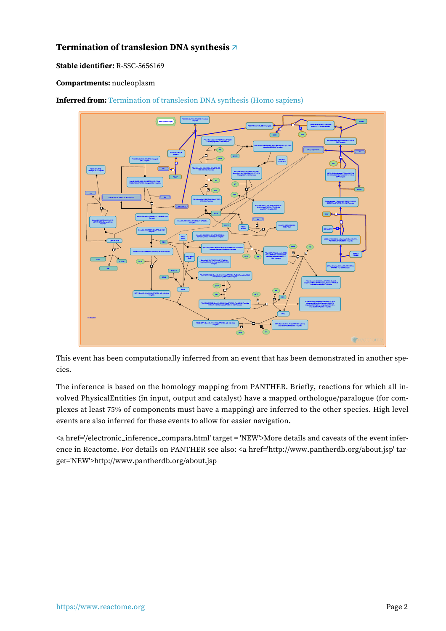#### <span id="page-2-0"></span>**Termination of translesion DNA synthesis [↗](https://www.reactome.org/content/detail/R-SSC-5656169)**

**Stable identifier:** R-SSC-5656169

#### **Compartments:** nucleoplasm

**Inferred from:** [Termination of translesion DNA synthesis \(Homo sapiens\)](https://www.reactome.org/content/detail/R-HSA-5656169)



This event has been computationally inferred from an event that has been demonstrated in another species.

The inference is based on the homology mapping from PANTHER. Briefly, reactions for which all involved PhysicalEntities (in input, output and catalyst) have a mapped orthologue/paralogue (for complexes at least 75% of components must have a mapping) are inferred to the other species. High level events are also inferred for these events to allow for easier navigation.

<a href='/electronic\_inference\_compara.html' target = 'NEW'>More details and caveats of the event inference in Reactome. For details on PANTHER see also: <a href='http://www.pantherdb.org/about.jsp' target='NEW'>http://www.pantherdb.org/about.jsp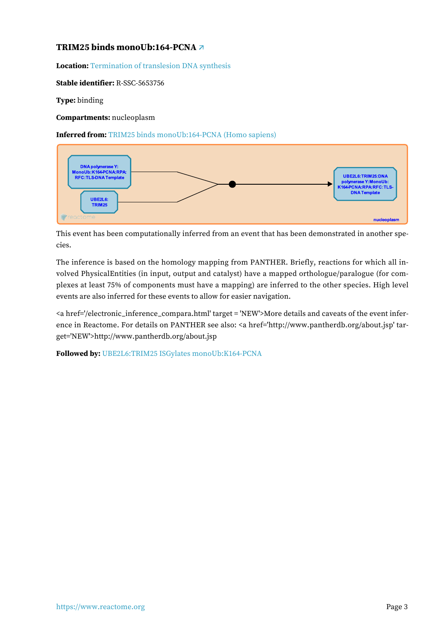#### <span id="page-3-0"></span>**TRIM25 binds monoUb:164-PCNA [↗](https://www.reactome.org/content/detail/R-SSC-5653756)**

**Location:** [Termination of translesion DNA synthesis](#page-2-0)

**Stable identifier:** R-SSC-5653756

**Type:** binding

**Compartments:** nucleoplasm

**Inferred from:** [TRIM25 binds monoUb:164-PCNA \(Homo sapiens\)](https://www.reactome.org/content/detail/R-HSA-5653756)



This event has been computationally inferred from an event that has been demonstrated in another species.

The inference is based on the homology mapping from PANTHER. Briefly, reactions for which all involved PhysicalEntities (in input, output and catalyst) have a mapped orthologue/paralogue (for complexes at least 75% of components must have a mapping) are inferred to the other species. High level events are also inferred for these events to allow for easier navigation.

<a href='/electronic\_inference\_compara.html' target = 'NEW'>More details and caveats of the event inference in Reactome. For details on PANTHER see also: <a href='http://www.pantherdb.org/about.jsp' target='NEW'>http://www.pantherdb.org/about.jsp

**Followed by:** [UBE2L6:TRIM25 ISGylates monoUb:K164-PCNA](#page-4-0)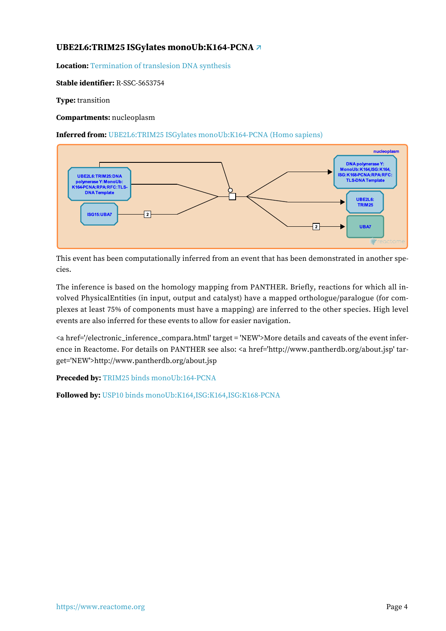#### <span id="page-4-0"></span>**UBE2L6:TRIM25 ISGylates monoUb:K164-PCNA [↗](https://www.reactome.org/content/detail/R-SSC-5653754)**

**Location:** [Termination of translesion DNA synthesis](#page-2-0)

**Stable identifier:** R-SSC-5653754

**Type:** transition

**Compartments:** nucleoplasm

**Inferred from:** [UBE2L6:TRIM25 ISGylates monoUb:K164-PCNA \(Homo sapiens\)](https://www.reactome.org/content/detail/R-HSA-5653754)



This event has been computationally inferred from an event that has been demonstrated in another species.

The inference is based on the homology mapping from PANTHER. Briefly, reactions for which all involved PhysicalEntities (in input, output and catalyst) have a mapped orthologue/paralogue (for complexes at least 75% of components must have a mapping) are inferred to the other species. High level events are also inferred for these events to allow for easier navigation.

<a href='/electronic\_inference\_compara.html' target = 'NEW'>More details and caveats of the event inference in Reactome. For details on PANTHER see also: <a href='http://www.pantherdb.org/about.jsp' target='NEW'>http://www.pantherdb.org/about.jsp

Preceded by: [TRIM25 binds monoUb:164-PCNA](#page-3-0)

**Followed by:** [USP10 binds monoUb:K164,ISG:K164,ISG:K168-PCNA](#page-5-0)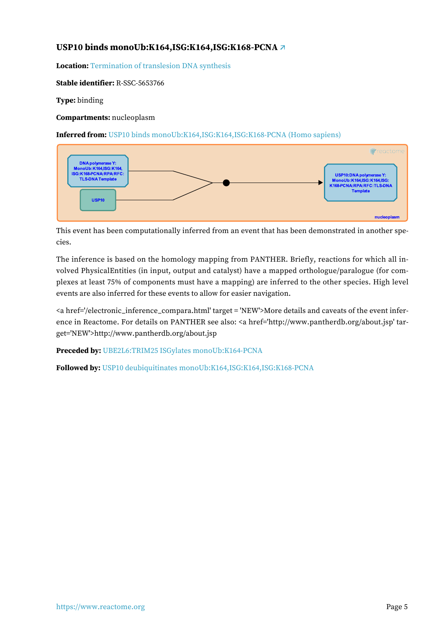#### <span id="page-5-0"></span>**USP10 binds monoUb:K164,ISG:K164,ISG:K168-PCNA [↗](https://www.reactome.org/content/detail/R-SSC-5653766)**

**Location:** [Termination of translesion DNA synthesis](#page-2-0)

**Stable identifier:** R-SSC-5653766

**Type:** binding

**Compartments:** nucleoplasm

**Inferred from:** [USP10 binds monoUb:K164,ISG:K164,ISG:K168-PCNA \(Homo sapiens\)](https://www.reactome.org/content/detail/R-HSA-5653766)



This event has been computationally inferred from an event that has been demonstrated in another species.

The inference is based on the homology mapping from PANTHER. Briefly, reactions for which all involved PhysicalEntities (in input, output and catalyst) have a mapped orthologue/paralogue (for complexes at least 75% of components must have a mapping) are inferred to the other species. High level events are also inferred for these events to allow for easier navigation.

<a href='/electronic\_inference\_compara.html' target = 'NEW'>More details and caveats of the event inference in Reactome. For details on PANTHER see also: <a href='http://www.pantherdb.org/about.jsp' target='NEW'>http://www.pantherdb.org/about.jsp

**Preceded by:** [UBE2L6:TRIM25 ISGylates monoUb:K164-PCNA](#page-4-0)

**Followed by:** [USP10 deubiquitinates monoUb:K164,ISG:K164,ISG:K168-PCNA](#page-6-0)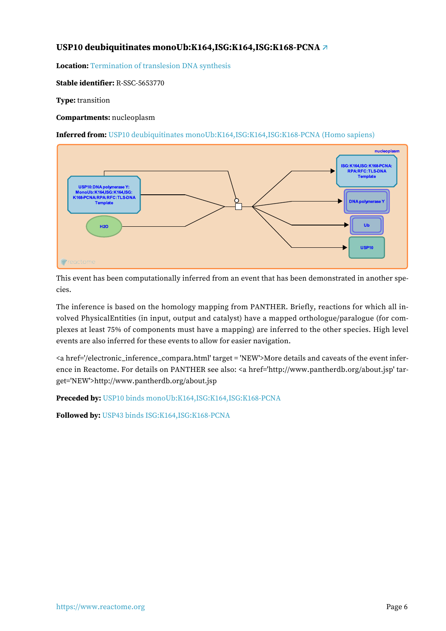#### <span id="page-6-0"></span>**USP10 deubiquitinates monoUb:K164,ISG:K164,ISG:K168-PCNA [↗](https://www.reactome.org/content/detail/R-SSC-5653770)**

**Location:** [Termination of translesion DNA synthesis](#page-2-0)

**Stable identifier:** R-SSC-5653770

**Type:** transition

**Compartments:** nucleoplasm

**Inferred from:** [USP10 deubiquitinates monoUb:K164,ISG:K164,ISG:K168-PCNA \(Homo sapiens\)](https://www.reactome.org/content/detail/R-HSA-5653770)



This event has been computationally inferred from an event that has been demonstrated in another species.

The inference is based on the homology mapping from PANTHER. Briefly, reactions for which all involved PhysicalEntities (in input, output and catalyst) have a mapped orthologue/paralogue (for complexes at least 75% of components must have a mapping) are inferred to the other species. High level events are also inferred for these events to allow for easier navigation.

<a href='/electronic\_inference\_compara.html' target = 'NEW'>More details and caveats of the event inference in Reactome. For details on PANTHER see also: <a href='http://www.pantherdb.org/about.jsp' target='NEW'>http://www.pantherdb.org/about.jsp

**Preceded by:** [USP10 binds monoUb:K164,ISG:K164,ISG:K168-PCNA](#page-5-0)

**Followed by:** [USP43 binds ISG:K164,ISG:K168-PCNA](#page-7-0)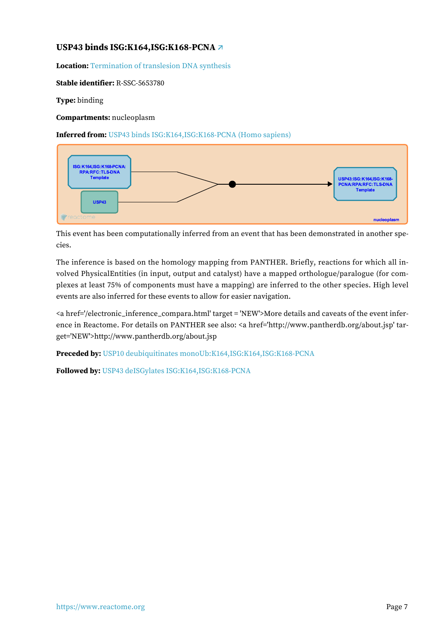#### <span id="page-7-0"></span>**USP43 binds ISG:K164,ISG:K168-PCNA [↗](https://www.reactome.org/content/detail/R-SSC-5653780)**

**Location:** [Termination of translesion DNA synthesis](#page-2-0)

**Stable identifier:** R-SSC-5653780

**Type:** binding

**Compartments:** nucleoplasm

**Inferred from:** [USP43 binds ISG:K164,ISG:K168-PCNA \(Homo sapiens\)](https://www.reactome.org/content/detail/R-HSA-5653780)



This event has been computationally inferred from an event that has been demonstrated in another species.

The inference is based on the homology mapping from PANTHER. Briefly, reactions for which all involved PhysicalEntities (in input, output and catalyst) have a mapped orthologue/paralogue (for complexes at least 75% of components must have a mapping) are inferred to the other species. High level events are also inferred for these events to allow for easier navigation.

<a href='/electronic\_inference\_compara.html' target = 'NEW'>More details and caveats of the event inference in Reactome. For details on PANTHER see also: <a href='http://www.pantherdb.org/about.jsp' target='NEW'>http://www.pantherdb.org/about.jsp

**Preceded by:** [USP10 deubiquitinates monoUb:K164,ISG:K164,ISG:K168-PCNA](#page-6-0)

**Followed by:** [USP43 deISGylates ISG:K164,ISG:K168-PCNA](#page-8-0)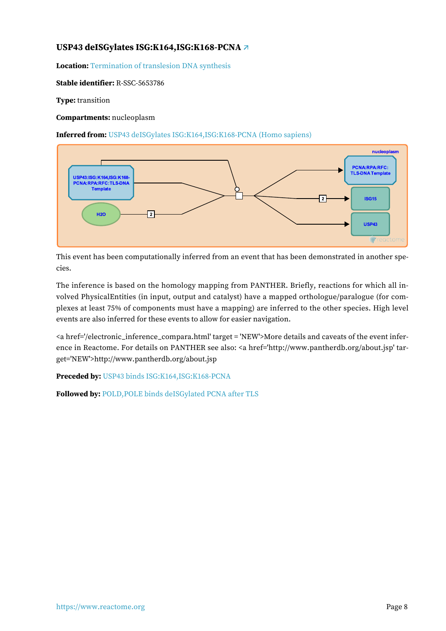#### <span id="page-8-0"></span>**USP43 deISGylates ISG:K164,ISG:K168-PCNA [↗](https://www.reactome.org/content/detail/R-SSC-5653786)**

**Location:** [Termination of translesion DNA synthesis](#page-2-0)

**Stable identifier:** R-SSC-5653786

**Type:** transition

**Compartments:** nucleoplasm

**Inferred from:** [USP43 deISGylates ISG:K164,ISG:K168-PCNA \(Homo sapiens\)](https://www.reactome.org/content/detail/R-HSA-5653786)



This event has been computationally inferred from an event that has been demonstrated in another species.

The inference is based on the homology mapping from PANTHER. Briefly, reactions for which all involved PhysicalEntities (in input, output and catalyst) have a mapped orthologue/paralogue (for complexes at least 75% of components must have a mapping) are inferred to the other species. High level events are also inferred for these events to allow for easier navigation.

<a href='/electronic\_inference\_compara.html' target = 'NEW'>More details and caveats of the event inference in Reactome. For details on PANTHER see also: <a href='http://www.pantherdb.org/about.jsp' target='NEW'>http://www.pantherdb.org/about.jsp

**Preceded by:** [USP43 binds ISG:K164,ISG:K168-PCNA](#page-7-0)

**Followed by:** [POLD,POLE binds deISGylated PCNA after TLS](#page-9-0)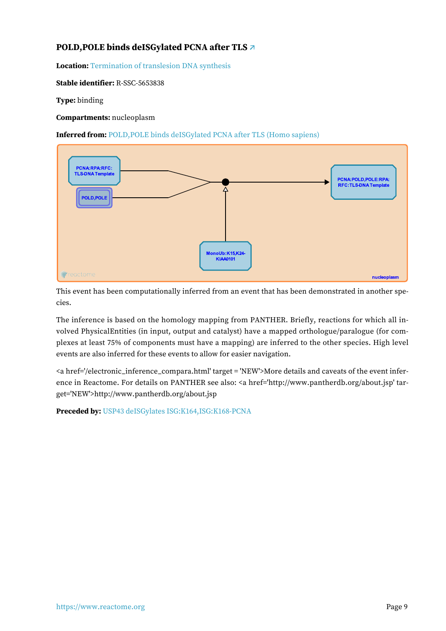#### <span id="page-9-0"></span>**POLD,POLE binds deISGylated PCNA after TLS [↗](https://www.reactome.org/content/detail/R-SSC-5653838)**

**Location:** [Termination of translesion DNA synthesis](#page-2-0)

**Stable identifier:** R-SSC-5653838

**Type:** binding

**Compartments:** nucleoplasm

**Inferred from:** [POLD,POLE binds deISGylated PCNA after TLS \(Homo sapiens\)](https://www.reactome.org/content/detail/R-HSA-5653838)



This event has been computationally inferred from an event that has been demonstrated in another species.

The inference is based on the homology mapping from PANTHER. Briefly, reactions for which all involved PhysicalEntities (in input, output and catalyst) have a mapped orthologue/paralogue (for complexes at least 75% of components must have a mapping) are inferred to the other species. High level events are also inferred for these events to allow for easier navigation.

<a href='/electronic\_inference\_compara.html' target = 'NEW'>More details and caveats of the event inference in Reactome. For details on PANTHER see also: <a href='http://www.pantherdb.org/about.jsp' target='NEW'>http://www.pantherdb.org/about.jsp

**Preceded by:** [USP43 deISGylates ISG:K164,ISG:K168-PCNA](#page-8-0)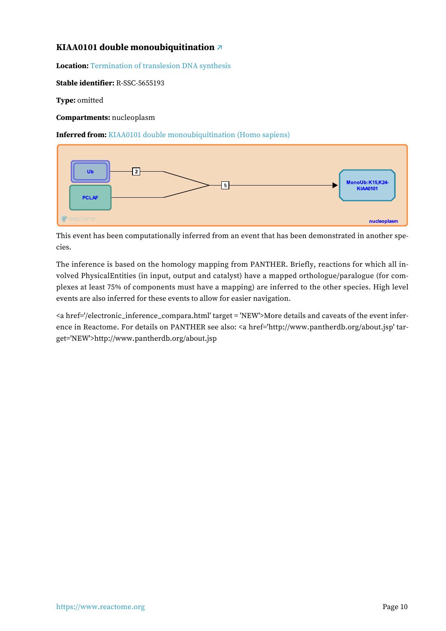#### <span id="page-10-0"></span>**KIAA0101 double monoubiquitination [↗](https://www.reactome.org/content/detail/R-SSC-5655193)**

**Location:** [Termination of translesion DNA synthesis](#page-2-0)

**Stable identifier:** R-SSC-5655193

**Type:** omitted

**Compartments:** nucleoplasm

**Inferred from:** [KIAA0101 double monoubiquitination \(Homo sapiens\)](https://www.reactome.org/content/detail/R-HSA-5655193)



This event has been computationally inferred from an event that has been demonstrated in another species.

The inference is based on the homology mapping from PANTHER. Briefly, reactions for which all involved PhysicalEntities (in input, output and catalyst) have a mapped orthologue/paralogue (for complexes at least 75% of components must have a mapping) are inferred to the other species. High level events are also inferred for these events to allow for easier navigation.

<a href='/electronic\_inference\_compara.html' target = 'NEW'>More details and caveats of the event inference in Reactome. For details on PANTHER see also: <a href='http://www.pantherdb.org/about.jsp' target='NEW'>http://www.pantherdb.org/about.jsp